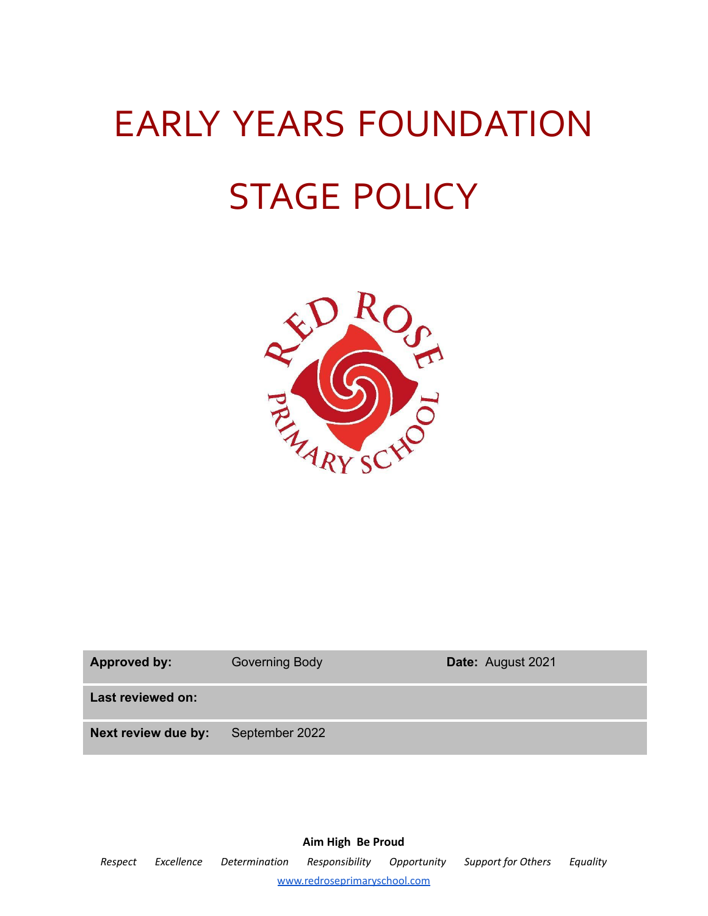# EARLY YEARS FOUNDATION STAGE POLICY



| <b>Approved by:</b> | <b>Governing Body</b> | Date: August 2021 |
|---------------------|-----------------------|-------------------|
| Last reviewed on:   |                       |                   |
| Next review due by: | September 2022        |                   |

**Aim High Be Proud** *Respect Excellence Determination Responsibility Opportunity Support for Others Equality* [www.redroseprimaryschool.com](http://www.redroseprimaryschool.com)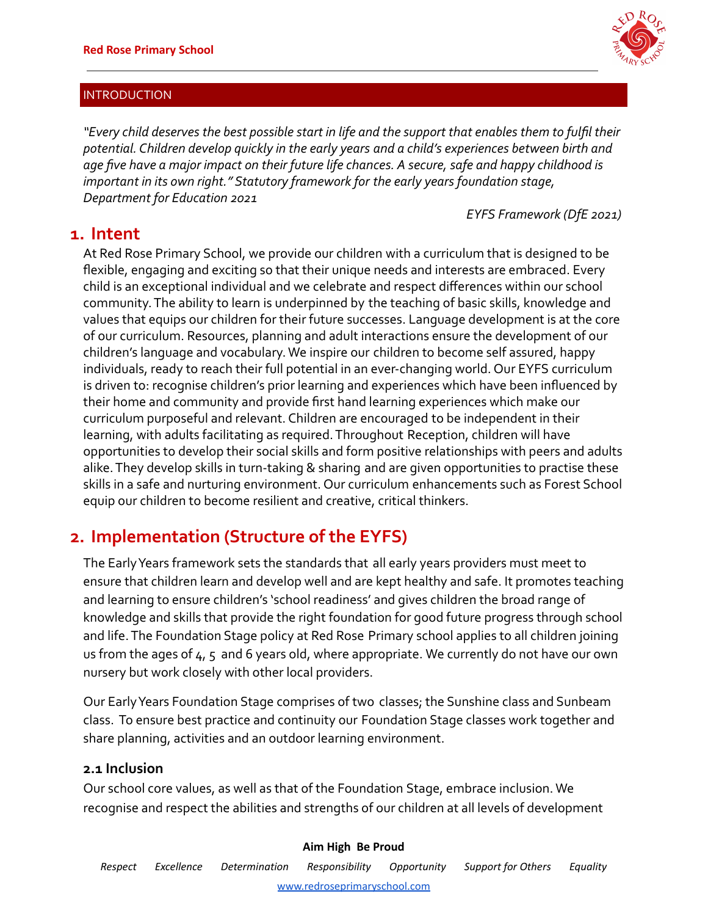

## INTRODUCTION

*"Every child deserves the best possible start in life and the support that enables them to fulfil their potential. Children develop quickly in the early years and a child's experiences between birth and age five have a major impact on their future life chances. A secure, safe and happy childhood is important in its own right." Statutory framework for the early years foundation stage, Department for Education 2021*

*EYFS Framework (DfE 2021)*

# **1. Intent**

At Red Rose Primary School, we provide our children with a curriculum that is designed to be flexible, engaging and exciting so that their unique needs and interests are embraced. Every child is an exceptional individual and we celebrate and respect differences within our school community. The ability to learn is underpinned by the teaching of basic skills, knowledge and values that equips our children for their future successes. Language development is at the core of our curriculum. Resources, planning and adult interactions ensure the development of our children's language and vocabulary. We inspire our children to become self assured, happy individuals, ready to reach their full potential in an ever-changing world. Our EYFS curriculum is driven to: recognise children's prior learning and experiences which have been influenced by their home and community and provide first hand learning experiences which make our curriculum purposeful and relevant. Children are encouraged to be independent in their learning, with adults facilitating as required. Throughout Reception, children will have opportunities to develop their social skills and form positive relationships with peers and adults alike. They develop skills in turn-taking & sharing and are given opportunities to practise these skills in a safe and nurturing environment. Our curriculum enhancements such as Forest School equip our children to become resilient and creative, critical thinkers.

# **2. Implementation (Structure of the EYFS)**

The Early Years framework sets the standards that all early years providers must meet to ensure that children learn and develop well and are kept healthy and safe. It promotes teaching and learning to ensure children's 'school readiness' and gives children the broad range of knowledge and skills that provide the right foundation for good future progress through school and life. The Foundation Stage policy at Red Rose Primary school applies to all children joining us from the ages of 4, 5 and 6 years old, where appropriate. We currently do not have our own nursery but work closely with other local providers.

Our Early Years Foundation Stage comprises of two classes; the Sunshine class and Sunbeam class. To ensure best practice and continuity our Foundation Stage classes work together and share planning, activities and an outdoor learning environment.

## **2.1 Inclusion**

Our school core values, as well as that of the Foundation Stage, embrace inclusion. We recognise and respect the abilities and strengths of our children at all levels of development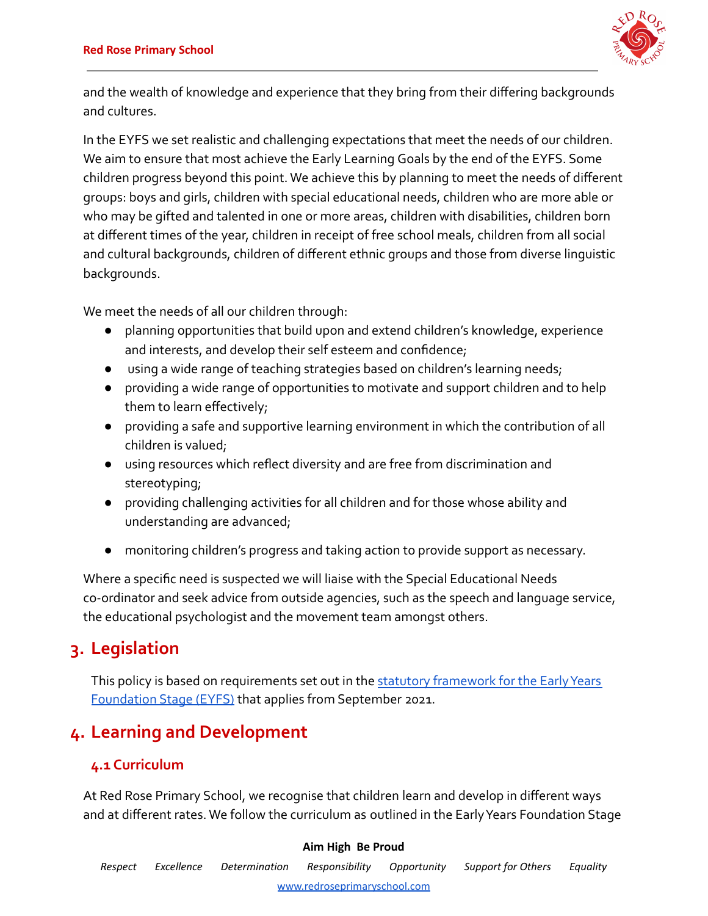

and the wealth of knowledge and experience that they bring from their differing backgrounds and cultures.

In the EYFS we set realistic and challenging expectations that meet the needs of our children. We aim to ensure that most achieve the Early Learning Goals by the end of the EYFS. Some children progress beyond this point. We achieve this by planning to meet the needs of different groups: boys and girls, children with special educational needs, children who are more able or who may be gifted and talented in one or more areas, children with disabilities, children born at different times of the year, children in receipt of free school meals, children from all social and cultural backgrounds, children of different ethnic groups and those from diverse linguistic backgrounds.

We meet the needs of all our children through:

- planning opportunities that build upon and extend children's knowledge, experience and interests, and develop their self esteem and confidence;
- using a wide range of teaching strategies based on children's learning needs;
- providing a wide range of opportunities to motivate and support children and to help them to learn effectively;
- providing a safe and supportive learning environment in which the contribution of all children is valued;
- using resources which reflect diversity and are free from discrimination and stereotyping;
- providing challenging activities for all children and for those whose ability and understanding are advanced;
- monitoring children's progress and taking action to provide support as necessary.

Where a specific need is suspected we will liaise with the Special Educational Needs co-ordinator and seek advice from outside agencies, such as the speech and language service, the educational psychologist and the movement team amongst others.

# **3. Legislation**

This policy is based on requirements set out in the [statutory framework for the Early Years](https://assets.publishing.service.gov.uk/government/uploads/system/uploads/attachment_data/file/596629/EYFS_STATUTORY_FRAMEWORK_2017.pdf) [Foundation Stage \(EYFS\)](https://assets.publishing.service.gov.uk/government/uploads/system/uploads/attachment_data/file/596629/EYFS_STATUTORY_FRAMEWORK_2017.pdf) that applies from September 2021.

# **4. Learning and Development**

# **4.1 Curriculum**

At Red Rose Primary School, we recognise that children learn and develop in different ways and at different rates. We follow the curriculum as outlined in the Early Years Foundation Stage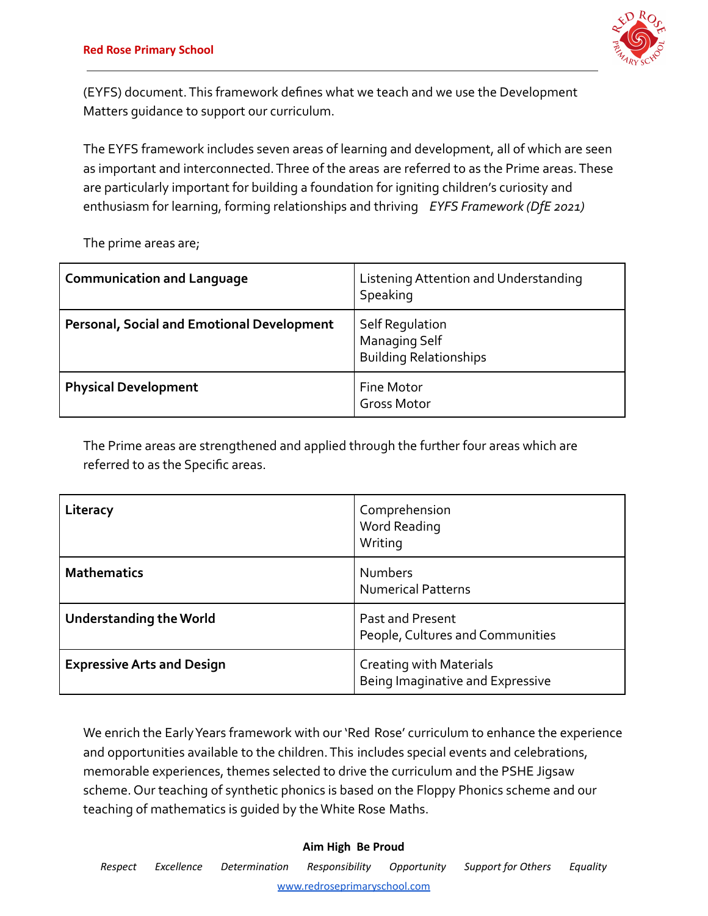

(EYFS) document. This framework defines what we teach and we use the Development Matters guidance to support our curriculum.

The EYFS framework includes seven areas of learning and development, all of which are seen as important and interconnected. Three of the areas are referred to as the Prime areas. These are particularly important for building a foundation for igniting children's curiosity and enthusiasm for learning, forming relationships and thriving *EYFS Framework (DfE 2021)*

The prime areas are;

| <b>Communication and Language</b>                 | Listening Attention and Understanding<br>Speaking                        |
|---------------------------------------------------|--------------------------------------------------------------------------|
| <b>Personal, Social and Emotional Development</b> | Self Regulation<br><b>Managing Self</b><br><b>Building Relationships</b> |
| <b>Physical Development</b>                       | <b>Fine Motor</b><br><b>Gross Motor</b>                                  |

The Prime areas are strengthened and applied through the further four areas which are referred to as the Specific areas.

| Literacy                          | Comprehension<br><b>Word Reading</b><br>Writing             |
|-----------------------------------|-------------------------------------------------------------|
| <b>Mathematics</b>                | <b>Numbers</b><br><b>Numerical Patterns</b>                 |
| <b>Understanding the World</b>    | Past and Present<br>People, Cultures and Communities        |
| <b>Expressive Arts and Design</b> | Creating with Materials<br>Being Imaginative and Expressive |

We enrich the Early Years framework with our 'Red Rose' curriculum to enhance the experience and opportunities available to the children. This includes special events and celebrations, memorable experiences, themes selected to drive the curriculum and the PSHE Jigsaw scheme. Our teaching of synthetic phonics is based on the Floppy Phonics scheme and our teaching of mathematics is guided by the White Rose Maths.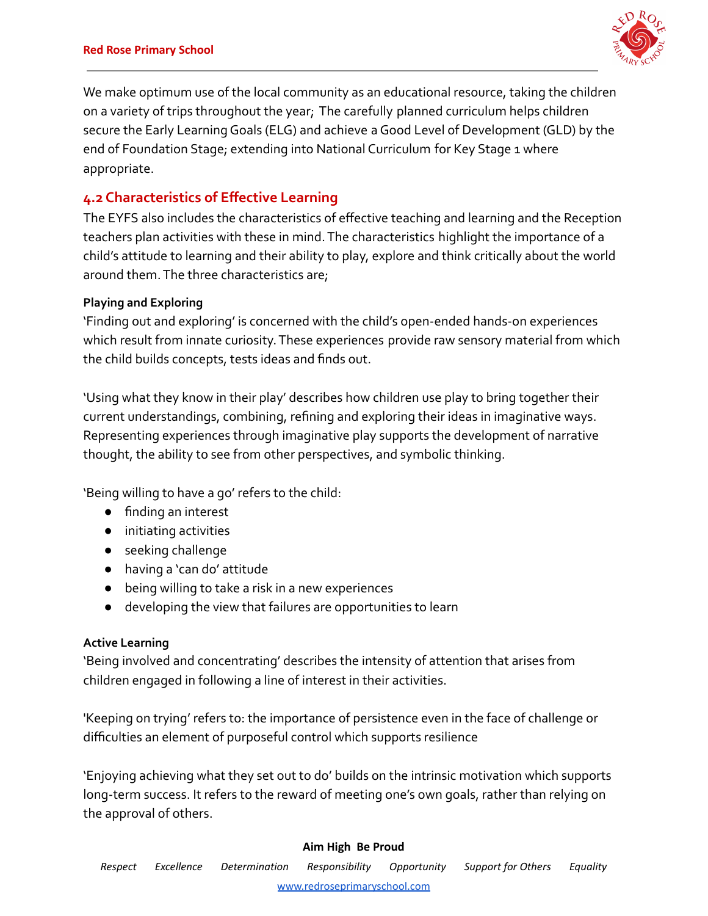

We make optimum use of the local community as an educational resource, taking the children on a variety of trips throughout the year; The carefully planned curriculum helps children secure the Early Learning Goals (ELG) and achieve a Good Level of Development (GLD) by the end of Foundation Stage; extending into National Curriculum for Key Stage 1 where appropriate.

# **4.2 Characteristics of Effective Learning**

The EYFS also includes the characteristics of effective teaching and learning and the Reception teachers plan activities with these in mind. The characteristics highlight the importance of a child's attitude to learning and their ability to play, explore and think critically about the world around them. The three characteristics are;

## **Playing and Exploring**

'Finding out and exploring' is concerned with the child's open-ended hands-on experiences which result from innate curiosity. These experiences provide raw sensory material from which the child builds concepts, tests ideas and finds out.

'Using what they know in their play' describes how children use play to bring together their current understandings, combining, refining and exploring their ideas in imaginative ways. Representing experiences through imaginative play supports the development of narrative thought, the ability to see from other perspectives, and symbolic thinking.

'Being willing to have a go' refers to the child:

- finding an interest
- initiating activities
- seeking challenge
- having a 'can do' attitude
- being willing to take a risk in a new experiences
- developing the view that failures are opportunities to learn

## **Active Learning**

'Being involved and concentrating' describes the intensity of attention that arises from children engaged in following a line of interest in their activities.

'Keeping on trying' refers to: the importance of persistence even in the face of challenge or difficulties an element of purposeful control which supports resilience

'Enjoying achieving what they set out to do' builds on the intrinsic motivation which supports long-term success. It refers to the reward of meeting one's own goals, rather than relying on the approval of others.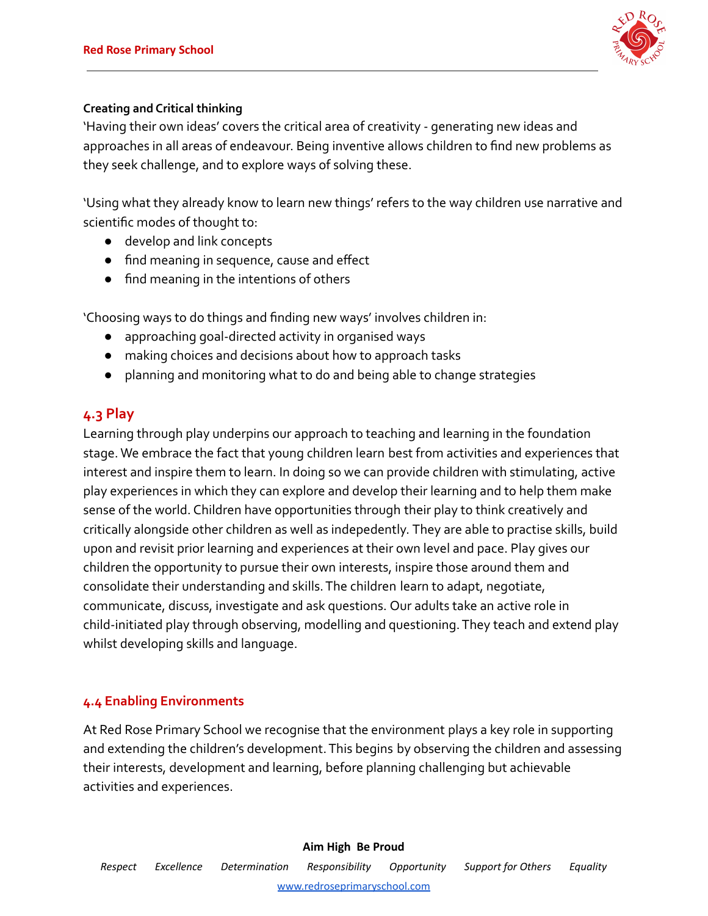

## **Creating and Critical thinking**

'Having their own ideas' covers the critical area of creativity - generating new ideas and approaches in all areas of endeavour. Being inventive allows children to find new problems as they seek challenge, and to explore ways of solving these.

'Using what they already know to learn new things' refers to the way children use narrative and scientific modes of thought to:

- develop and link concepts
- find meaning in sequence, cause and effect
- find meaning in the intentions of others

'Choosing ways to do things and finding new ways' involves children in:

- approaching goal-directed activity in organised ways
- making choices and decisions about how to approach tasks
- planning and monitoring what to do and being able to change strategies

# **4.3 Play**

Learning through play underpins our approach to teaching and learning in the foundation stage. We embrace the fact that young children learn best from activities and experiences that interest and inspire them to learn. In doing so we can provide children with stimulating, active play experiences in which they can explore and develop their learning and to help them make sense of the world. Children have opportunities through their play to think creatively and critically alongside other children as well as indepedently. They are able to practise skills, build upon and revisit prior learning and experiences at their own level and pace. Play gives our children the opportunity to pursue their own interests, inspire those around them and consolidate their understanding and skills. The children learn to adapt, negotiate, communicate, discuss, investigate and ask questions. Our adults take an active role in child-initiated play through observing, modelling and questioning. They teach and extend play whilst developing skills and language.

## **4.4 Enabling Environments**

At Red Rose Primary School we recognise that the environment plays a key role in supporting and extending the children's development. This begins by observing the children and assessing their interests, development and learning, before planning challenging but achievable activities and experiences.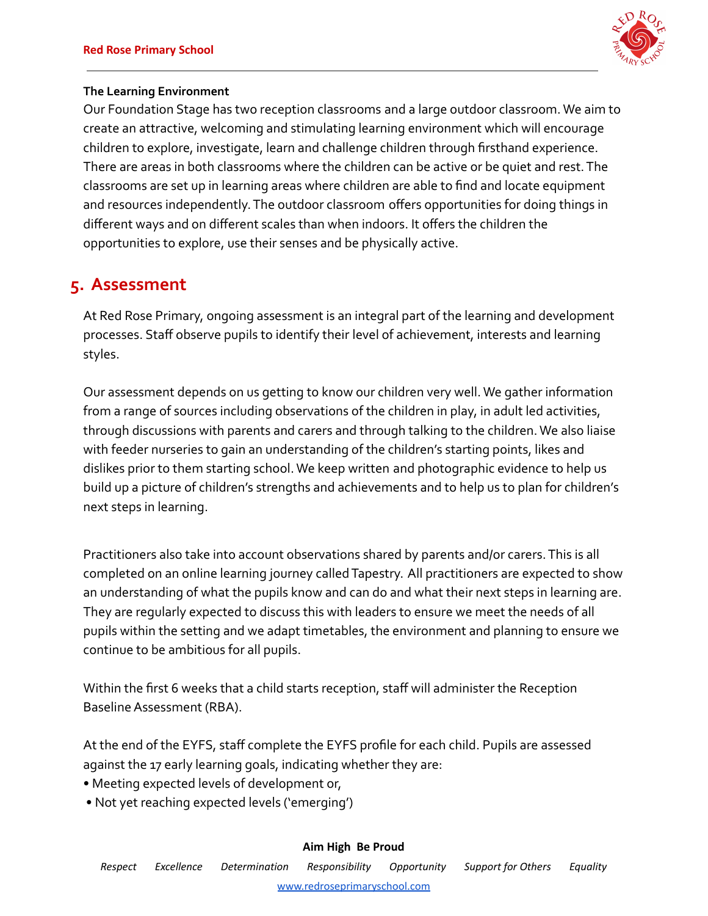

## **The Learning Environment**

Our Foundation Stage has two reception classrooms and a large outdoor classroom. We aim to create an attractive, welcoming and stimulating learning environment which will encourage children to explore, investigate, learn and challenge children through firsthand experience. There are areas in both classrooms where the children can be active or be quiet and rest. The classrooms are set up in learning areas where children are able to find and locate equipment and resources independently. The outdoor classroom offers opportunities for doing things in different ways and on different scales than when indoors. It offers the children the opportunities to explore, use their senses and be physically active.

# **5. Assessment**

At Red Rose Primary, ongoing assessment is an integral part of the learning and development processes. Staff observe pupils to identify their level of achievement, interests and learning styles.

Our assessment depends on us getting to know our children very well. We gather information from a range of sources including observations of the children in play, in adult led activities, through discussions with parents and carers and through talking to the children. We also liaise with feeder nurseries to gain an understanding of the children's starting points, likes and dislikes prior to them starting school. We keep written and photographic evidence to help us build up a picture of children's strengths and achievements and to help us to plan for children's next steps in learning.

Practitioners also take into account observations shared by parents and/or carers. This is all completed on an online learning journey called Tapestry. All practitioners are expected to show an understanding of what the pupils know and can do and what their next steps in learning are. They are regularly expected to discuss this with leaders to ensure we meet the needs of all pupils within the setting and we adapt timetables, the environment and planning to ensure we continue to be ambitious for all pupils.

Within the first 6 weeks that a child starts reception, staff will administer the Reception Baseline Assessment (RBA).

At the end of the EYFS, staff complete the EYFS profile for each child. Pupils are assessed against the 17 early learning goals, indicating whether they are:

- Meeting expected levels of development or,
- Not yet reaching expected levels ('emerging')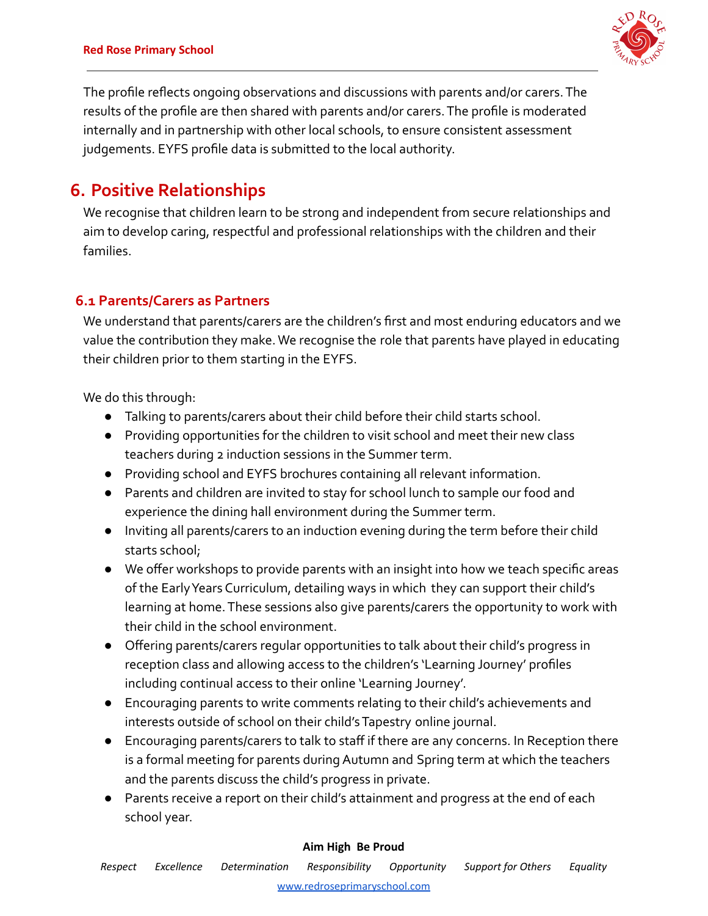

The profile reflects ongoing observations and discussions with parents and/or carers. The results of the profile are then shared with parents and/or carers. The profile is moderated internally and in partnership with other local schools, to ensure consistent assessment judgements. EYFS profile data is submitted to the local authority.

# **6. Positive Relationships**

We recognise that children learn to be strong and independent from secure relationships and aim to develop caring, respectful and professional relationships with the children and their families.

# **6.1 Parents/Carers as Partners**

We understand that parents/carers are the children's first and most enduring educators and we value the contribution they make. We recognise the role that parents have played in educating their children prior to them starting in the EYFS.

We do this through:

- Talking to parents/carers about their child before their child starts school.
- Providing opportunities for the children to visit school and meet their new class teachers during 2 induction sessions in the Summer term.
- Providing school and EYFS brochures containing all relevant information.
- Parents and children are invited to stay for school lunch to sample our food and experience the dining hall environment during the Summer term.
- Inviting all parents/carers to an induction evening during the term before their child starts school;
- We offer workshops to provide parents with an insight into how we teach specific areas of the Early Years Curriculum, detailing ways in which they can support their child's learning at home. These sessions also give parents/carers the opportunity to work with their child in the school environment.
- Offering parents/carers regular opportunities to talk about their child's progress in reception class and allowing access to the children's 'Learning Journey' profiles including continual access to their online 'Learning Journey'.
- Encouraging parents to write comments relating to their child's achievements and interests outside of school on their child's Tapestry online journal.
- Encouraging parents/carers to talk to staff if there are any concerns. In Reception there is a formal meeting for parents during Autumn and Spring term at which the teachers and the parents discuss the child's progress in private.
- Parents receive a report on their child's attainment and progress at the end of each school year.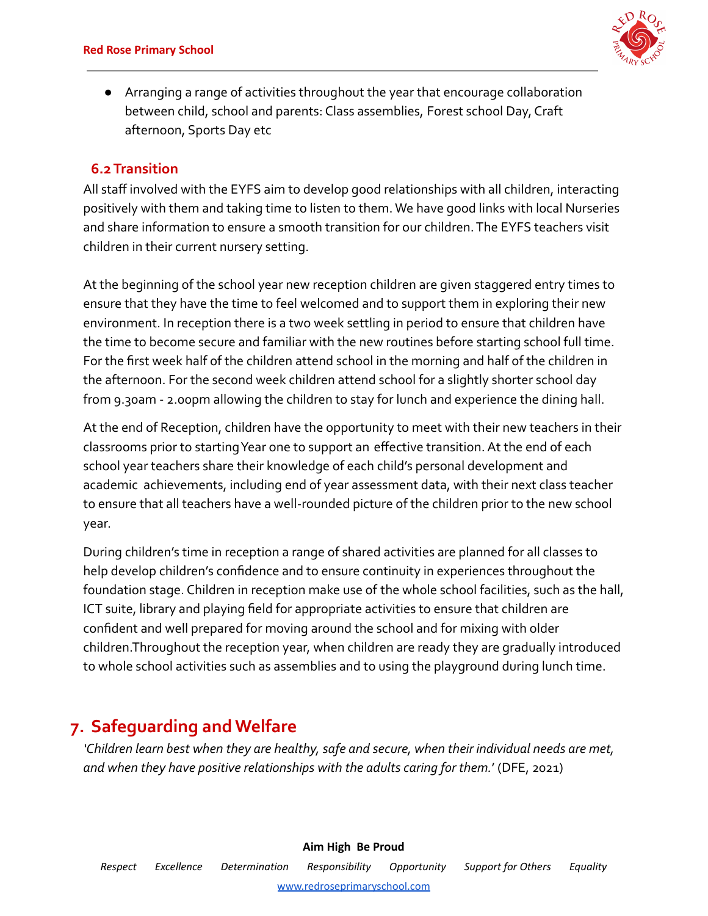

● Arranging a range of activities throughout the year that encourage collaboration between child, school and parents: Class assemblies, Forest school Day, Craft afternoon, Sports Day etc

# **6.2Transition**

All staff involved with the EYFS aim to develop good relationships with all children, interacting positively with them and taking time to listen to them. We have good links with local Nurseries and share information to ensure a smooth transition for our children. The EYFS teachers visit children in their current nursery setting.

At the beginning of the school year new reception children are given staggered entry times to ensure that they have the time to feel welcomed and to support them in exploring their new environment. In reception there is a two week settling in period to ensure that children have the time to become secure and familiar with the new routines before starting school full time. For the first week half of the children attend school in the morning and half of the children in the afternoon. For the second week children attend school for a slightly shorter school day from 9.30am - 2.00pm allowing the children to stay for lunch and experience the dining hall.

At the end of Reception, children have the opportunity to meet with their new teachers in their classrooms prior to starting Year one to support an effective transition. At the end of each school year teachers share their knowledge of each child's personal development and academic achievements, including end of year assessment data, with their next class teacher to ensure that all teachers have a well-rounded picture of the children prior to the new school year.

During children's time in reception a range of shared activities are planned for all classes to help develop children's confidence and to ensure continuity in experiences throughout the foundation stage. Children in reception make use of the whole school facilities, such as the hall, ICT suite, library and playing field for appropriate activities to ensure that children are confident and well prepared for moving around the school and for mixing with older children.Throughout the reception year, when children are ready they are gradually introduced to whole school activities such as assemblies and to using the playground during lunch time.

# **7. Safeguarding and Welfare**

*'Children learn best when they are healthy, safe and secure, when their individual needs are met, and when they have positive relationships with the adults caring for them.*' (DFE, 2021)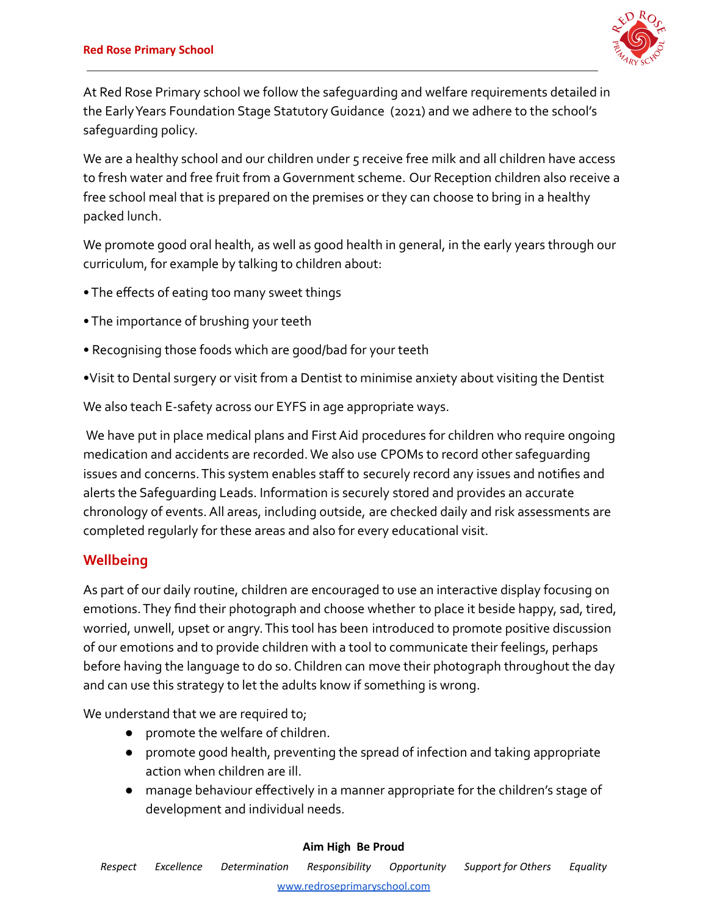

At Red Rose Primary school we follow the safeguarding and welfare requirements detailed in the Early Years Foundation Stage Statutory Guidance (2021) and we adhere to the school's safeguarding policy.

We are a healthy school and our children under 5 receive free milk and all children have access to fresh water and free fruit from a Government scheme. Our Reception children also receive a free school meal that is prepared on the premises or they can choose to bring in a healthy packed lunch.

We promote good oral health, as well as good health in general, in the early years through our curriculum, for example by talking to children about:

- The effects of eating too many sweet things
- The importance of brushing your teeth
- Recognising those foods which are good/bad for your teeth
- •Visit to Dental surgery or visit from a Dentist to minimise anxiety about visiting the Dentist

We also teach E-safety across our EYFS in age appropriate ways.

We have put in place medical plans and First Aid procedures for children who require ongoing medication and accidents are recorded. We also use CPOMs to record other safeguarding issues and concerns. This system enables staff to securely record any issues and notifies and alerts the Safeguarding Leads. Information is securely stored and provides an accurate chronology of events. All areas, including outside, are checked daily and risk assessments are completed regularly for these areas and also for every educational visit.

# **Wellbeing**

As part of our daily routine, children are encouraged to use an interactive display focusing on emotions. They find their photograph and choose whether to place it beside happy, sad, tired, worried, unwell, upset or angry. This tool has been introduced to promote positive discussion of our emotions and to provide children with a tool to communicate their feelings, perhaps before having the language to do so. Children can move their photograph throughout the day and can use this strategy to let the adults know if something is wrong.

We understand that we are required to;

- promote the welfare of children.
- promote good health, preventing the spread of infection and taking appropriate action when children are ill.
- manage behaviour effectively in a manner appropriate for the children's stage of development and individual needs.